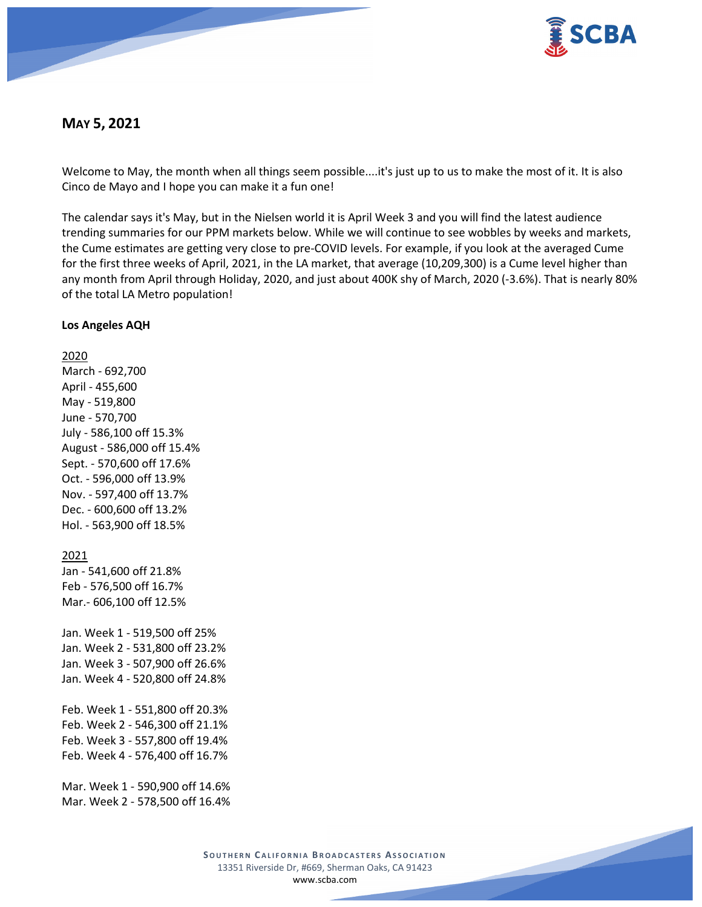

# **MAY 5, 2021**

Welcome to May, the month when all things seem possible....it's just up to us to make the most of it. It is also Cinco de Mayo and I hope you can make it a fun one!

The calendar says it's May, but in the Nielsen world it is April Week 3 and you will find the latest audience trending summaries for our PPM markets below. While we will continue to see wobbles by weeks and markets, the Cume estimates are getting very close to pre-COVID levels. For example, if you look at the averaged Cume for the first three weeks of April, 2021, in the LA market, that average (10,209,300) is a Cume level higher than any month from April through Holiday, 2020, and just about 400K shy of March, 2020 (-3.6%). That is nearly 80% of the total LA Metro population!

### **Los Angeles AQH**

2020 March - 692,700 April - 455,600 May - 519,800 June - 570,700 July - 586,100 off 15.3% August - 586,000 off 15.4% Sept. - 570,600 off 17.6% Oct. - 596,000 off 13.9% Nov. - 597,400 off 13.7% Dec. - 600,600 off 13.2% Hol. - 563,900 off 18.5% 2021 Jan - 541,600 off 21.8% Feb - 576,500 off 16.7% Mar.- 606,100 off 12.5% Jan. Week 1 - 519,500 off 25% Jan. Week 2 - 531,800 off 23.2% Jan. Week 3 - 507,900 off 26.6% Jan. Week 4 - 520,800 off 24.8% Feb. Week 1 - 551,800 off 20.3% Feb. Week 2 - 546,300 off 21.1% Feb. Week 3 - 557,800 off 19.4% Feb. Week 4 - 576,400 off 16.7% Mar. Week 1 - 590,900 off 14.6% Mar. Week 2 - 578,500 off 16.4%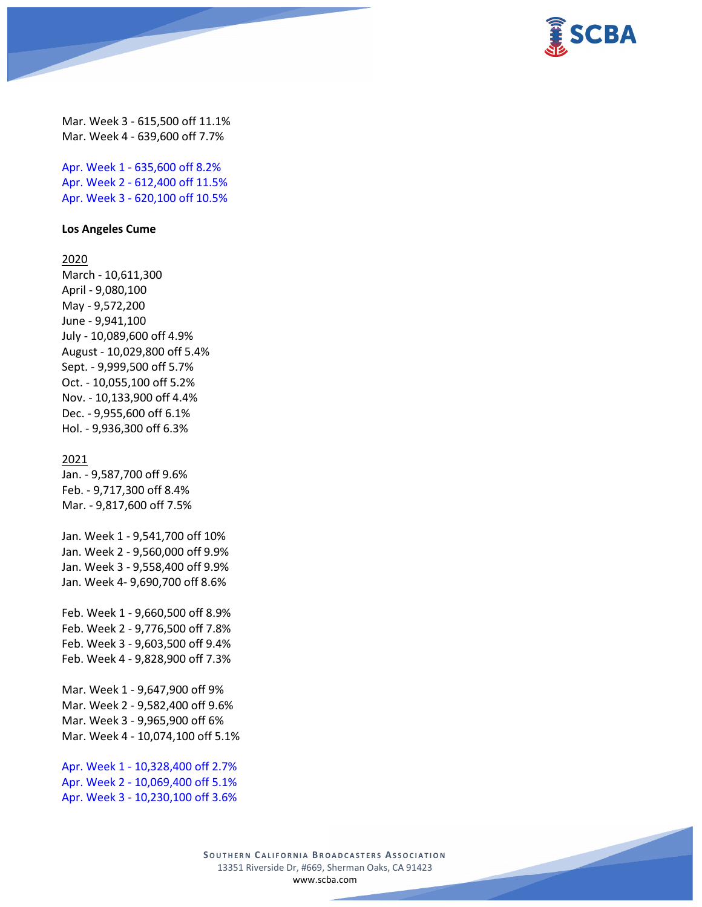

Mar. Week 3 - 615,500 off 11.1% Mar. Week 4 - 639,600 off 7.7%

Apr. Week 1 - 635,600 off 8.2% Apr. Week 2 - 612,400 off 11.5% Apr. Week 3 - 620,100 off 10.5%

#### **Los Angeles Cume**

2020

March - 10,611,300 April - 9,080,100 May - 9,572,200 June - 9,941,100 July - 10,089,600 off 4.9% August - 10,029,800 off 5.4% Sept. - 9,999,500 off 5.7% Oct. - 10,055,100 off 5.2% Nov. - 10,133,900 off 4.4% Dec. - 9,955,600 off 6.1% Hol. - 9,936,300 off 6.3%

### 2021

Jan. - 9,587,700 off 9.6% Feb. - 9,717,300 off 8.4% Mar. - 9,817,600 off 7.5%

Jan. Week 1 - 9,541,700 off 10% Jan. Week 2 - 9,560,000 off 9.9% Jan. Week 3 - 9,558,400 off 9.9% Jan. Week 4- 9,690,700 off 8.6%

Feb. Week 1 - 9,660,500 off 8.9% Feb. Week 2 - 9,776,500 off 7.8% Feb. Week 3 - 9,603,500 off 9.4% Feb. Week 4 - 9,828,900 off 7.3%

Mar. Week 1 - 9,647,900 off 9% Mar. Week 2 - 9,582,400 off 9.6% Mar. Week 3 - 9,965,900 off 6% Mar. Week 4 - 10,074,100 off 5.1%

Apr. Week 1 - 10,328,400 off 2.7% Apr. Week 2 - 10,069,400 off 5.1% Apr. Week 3 - 10,230,100 off 3.6%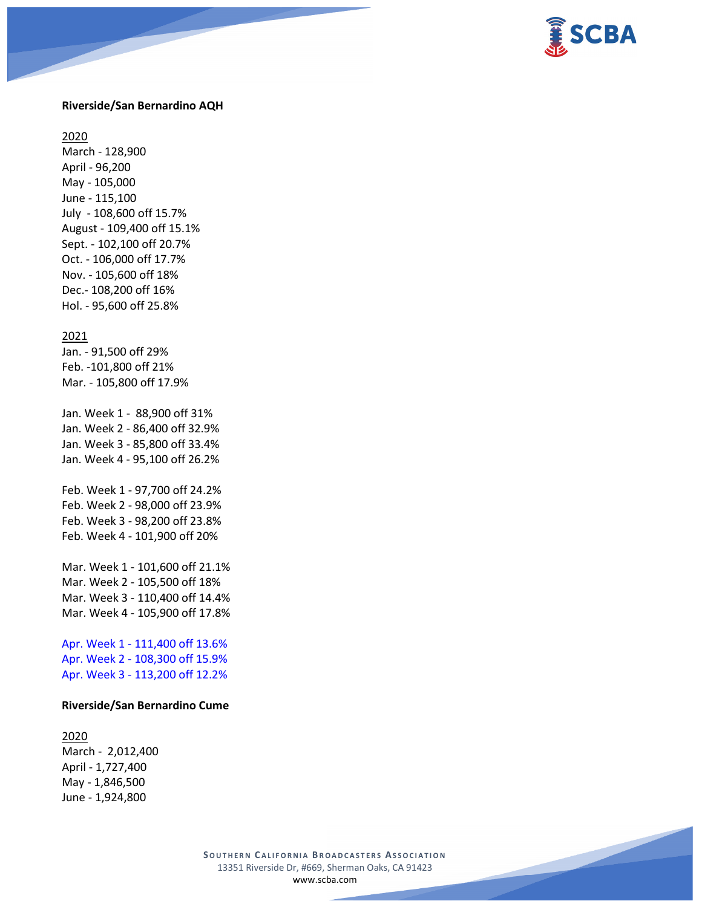

### **Riverside/San Bernardino AQH**

2020

March - 128,900 April - 96,200 May - 105,000 June - 115,100 July - 108,600 off 15.7% August - 109,400 off 15.1% Sept. - 102,100 off 20.7% Oct. - 106,000 off 17.7% Nov. - 105,600 off 18% Dec.- 108,200 off 16% Hol. - 95,600 off 25.8%

#### 2021

Jan. - 91,500 off 29% Feb. -101,800 off 21% Mar. - 105,800 off 17.9%

Jan. Week 1 - 88,900 off 31% Jan. Week 2 - 86,400 off 32.9% Jan. Week 3 - 85,800 off 33.4% Jan. Week 4 - 95,100 off 26.2%

Feb. Week 1 - 97,700 off 24.2% Feb. Week 2 - 98,000 off 23.9% Feb. Week 3 - 98,200 off 23.8% Feb. Week 4 - 101,900 off 20%

Mar. Week 1 - 101,600 off 21.1% Mar. Week 2 - 105,500 off 18% Mar. Week 3 - 110,400 off 14.4% Mar. Week 4 - 105,900 off 17.8%

Apr. Week 1 - 111,400 off 13.6% Apr. Week 2 - 108,300 off 15.9% Apr. Week 3 - 113,200 off 12.2%

### **Riverside/San Bernardino Cume**

2020 March - 2,012,400 April - 1,727,400 May - 1,846,500 June - 1,924,800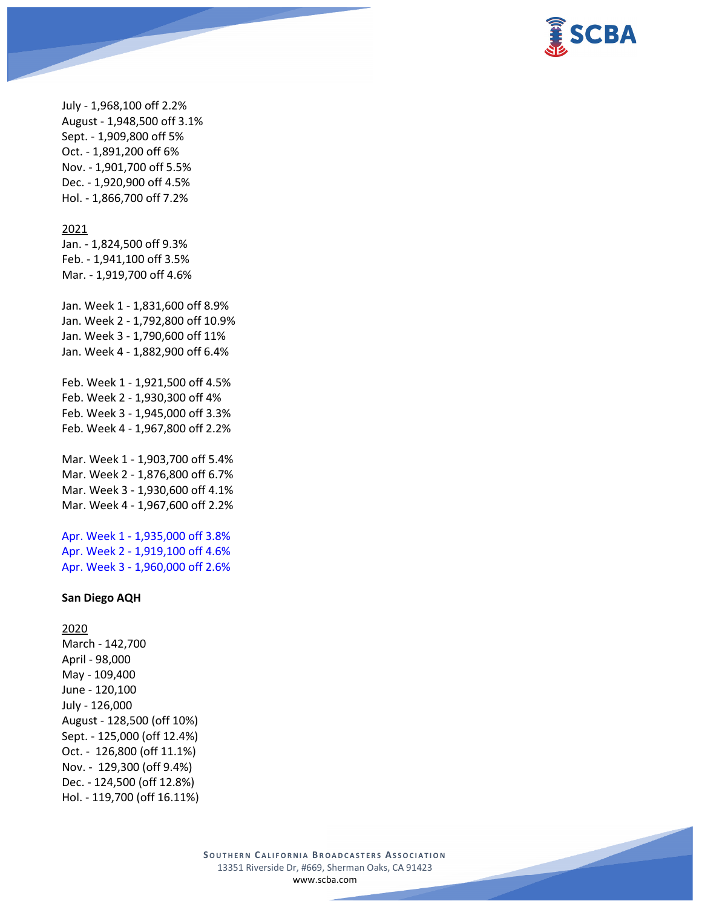

July - 1,968,100 off 2.2% August - 1,948,500 off 3.1% Sept. - 1,909,800 off 5% Oct. - 1,891,200 off 6% Nov. - 1,901,700 off 5.5% Dec. - 1,920,900 off 4.5% Hol. - 1,866,700 off 7.2%

#### 2021

Jan. - 1,824,500 off 9.3% Feb. - 1,941,100 off 3.5% Mar. - 1,919,700 off 4.6%

Jan. Week 1 - 1,831,600 off 8.9% Jan. Week 2 - 1,792,800 off 10.9% Jan. Week 3 - 1,790,600 off 11% Jan. Week 4 - 1,882,900 off 6.4%

Feb. Week 1 - 1,921,500 off 4.5% Feb. Week 2 - 1,930,300 off 4% Feb. Week 3 - 1,945,000 off 3.3% Feb. Week 4 - 1,967,800 off 2.2%

Mar. Week 1 - 1,903,700 off 5.4% Mar. Week 2 - 1,876,800 off 6.7% Mar. Week 3 - 1,930,600 off 4.1% Mar. Week 4 - 1,967,600 off 2.2%

Apr. Week 1 - 1,935,000 off 3.8% Apr. Week 2 - 1,919,100 off 4.6% Apr. Week 3 - 1,960,000 off 2.6%

### **San Diego AQH**

2020 March - 142,700 April - 98,000 May - 109,400 June - 120,100 July - 126,000 August - 128,500 (off 10%) Sept. - 125,000 (off 12.4%) Oct. - 126,800 (off 11.1%) Nov. - 129,300 (off 9.4%) Dec. - 124,500 (off 12.8%) Hol. - 119,700 (off 16.11%)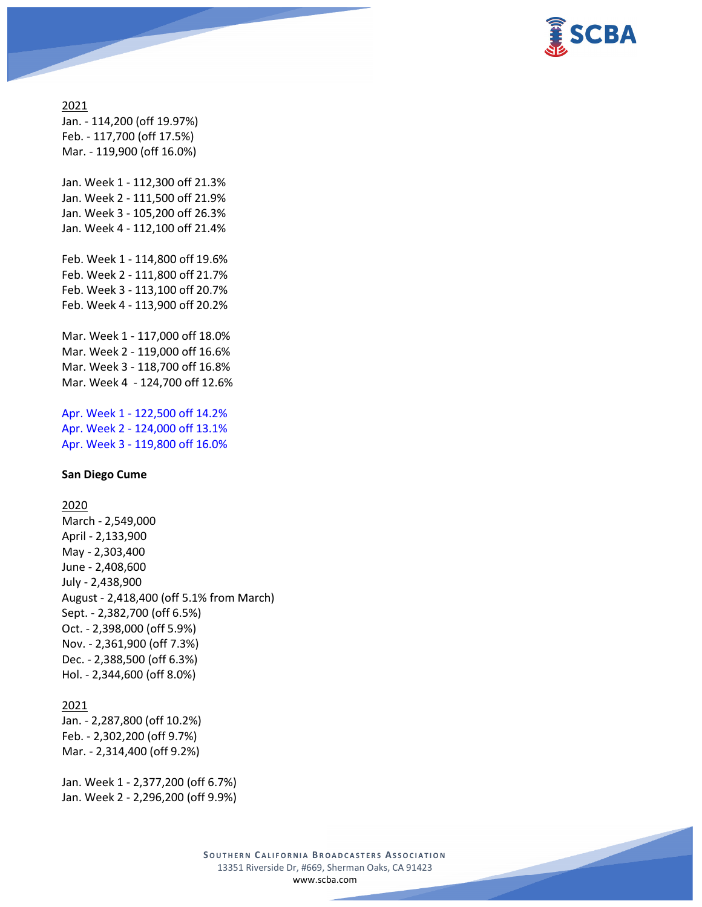

# 2021 Jan. - 114,200 (off 19.97%) Feb. - 117,700 (off 17.5%) Mar. - 119,900 (off 16.0%)

Jan. Week 1 - 112,300 off 21.3% Jan. Week 2 - 111,500 off 21.9% Jan. Week 3 - 105,200 off 26.3% Jan. Week 4 - 112,100 off 21.4%

Feb. Week 1 - 114,800 off 19.6% Feb. Week 2 - 111,800 off 21.7% Feb. Week 3 - 113,100 off 20.7% Feb. Week 4 - 113,900 off 20.2%

Mar. Week 1 - 117,000 off 18.0% Mar. Week 2 - 119,000 off 16.6% Mar. Week 3 - 118,700 off 16.8% Mar. Week 4 - 124,700 off 12.6%

Apr. Week 1 - 122,500 off 14.2% Apr. Week 2 - 124,000 off 13.1% Apr. Week 3 - 119,800 off 16.0%

### **San Diego Cume**

2020

March - 2,549,000 April - 2,133,900 May - 2,303,400 June - 2,408,600 July - 2,438,900 August - 2,418,400 (off 5.1% from March) Sept. - 2,382,700 (off 6.5%) Oct. - 2,398,000 (off 5.9%) Nov. - 2,361,900 (off 7.3%) Dec. - 2,388,500 (off 6.3%) Hol. - 2,344,600 (off 8.0%)

## 2021

Jan. - 2,287,800 (off 10.2%) Feb. - 2,302,200 (off 9.7%) Mar. - 2,314,400 (off 9.2%)

Jan. Week 1 - 2,377,200 (off 6.7%) Jan. Week 2 - 2,296,200 (off 9.9%)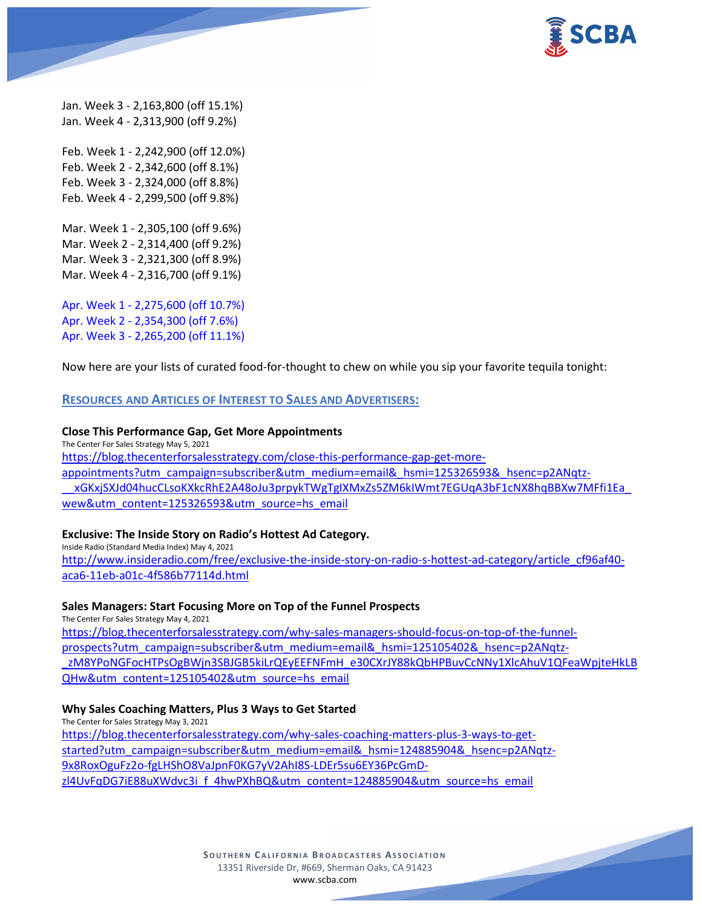

Jan. Week 3 - 2,163,800 (off 15.1%) Jan. Week 4 - 2,313,900 (off 9.2%)

Feb. Week 1 - 2,242,900 (off 12.0%) Feb. Week 2 - 2,342,600 (off 8.1%) Feb. Week 3 - 2,324,000 (off 8.8%) Feb. Week 4 - 2,299,500 (off 9.8%)

Mar. Week 1 - 2,305,100 (off 9.6%) Mar. Week 2 - 2,314,400 (off 9.2%) Mar. Week 3 - 2,321,300 (off 8.9%) Mar. Week 4 - 2,316,700 (off 9.1%)

Apr. Week 1 - 2,275,600 (off 10.7%) Apr. Week 2 - 2,354,300 (off 7.6%) Apr. Week 3 - 2,265,200 (off 11.1%)

Now here are your lists of curated food-for-thought to chew on while you sip your favorite tequila tonight:

## **RESOURCES AND ARTICLES OF INTEREST TO SALES AND ADVERTISERS:**

### **Close This Performance Gap, Get More Appointments**

The Center For Sales Strategy May 5, 2021 [https://blog.thecenterforsalesstrategy.com/close-this-performance-gap-get-more](https://blog.thecenterforsalesstrategy.com/close-this-performance-gap-get-more-appointments?utm_campaign=subscriber&utm_medium=email&_hsmi=125326593&_hsenc=p2ANqtz-__xGKxjSXJd04hucCLsoKXkcRhE2A48oJu3prpykTWgTgIXMxZs5ZM6kIWmt7EGUqA3bF1cNX8hqBBXw7MFfi1Ea_wew&utm_content=125326593&utm_source=hs_email)[appointments?utm\\_campaign=subscriber&utm\\_medium=email&\\_hsmi=125326593&\\_hsenc=p2ANqtz-](https://blog.thecenterforsalesstrategy.com/close-this-performance-gap-get-more-appointments?utm_campaign=subscriber&utm_medium=email&_hsmi=125326593&_hsenc=p2ANqtz-__xGKxjSXJd04hucCLsoKXkcRhE2A48oJu3prpykTWgTgIXMxZs5ZM6kIWmt7EGUqA3bF1cNX8hqBBXw7MFfi1Ea_wew&utm_content=125326593&utm_source=hs_email) [\\_\\_xGKxjSXJd04hucCLsoKXkcRhE2A48oJu3prpykTWgTgIXMxZs5ZM6kIWmt7EGUqA3bF1cNX8hqBBXw7MFfi1Ea\\_](https://blog.thecenterforsalesstrategy.com/close-this-performance-gap-get-more-appointments?utm_campaign=subscriber&utm_medium=email&_hsmi=125326593&_hsenc=p2ANqtz-__xGKxjSXJd04hucCLsoKXkcRhE2A48oJu3prpykTWgTgIXMxZs5ZM6kIWmt7EGUqA3bF1cNX8hqBBXw7MFfi1Ea_wew&utm_content=125326593&utm_source=hs_email) [wew&utm\\_content=125326593&utm\\_source=hs\\_email](https://blog.thecenterforsalesstrategy.com/close-this-performance-gap-get-more-appointments?utm_campaign=subscriber&utm_medium=email&_hsmi=125326593&_hsenc=p2ANqtz-__xGKxjSXJd04hucCLsoKXkcRhE2A48oJu3prpykTWgTgIXMxZs5ZM6kIWmt7EGUqA3bF1cNX8hqBBXw7MFfi1Ea_wew&utm_content=125326593&utm_source=hs_email)

### **Exclusive: The Inside Story on Radio's Hottest Ad Category.**

Inside Radio (Standard Media Index) May 4, 2021 [http://www.insideradio.com/free/exclusive-the-inside-story-on-radio-s-hottest-ad-category/article\\_cf96af40](http://www.insideradio.com/free/exclusive-the-inside-story-on-radio-s-hottest-ad-category/article_cf96af40-aca6-11eb-a01c-4f586b77114d.html) [aca6-11eb-a01c-4f586b77114d.html](http://www.insideradio.com/free/exclusive-the-inside-story-on-radio-s-hottest-ad-category/article_cf96af40-aca6-11eb-a01c-4f586b77114d.html)

### **Sales Managers: Start Focusing More on Top of the Funnel Prospects**

The Center For Sales Strategy May 4, 2021 [https://blog.thecenterforsalesstrategy.com/why-sales-managers-should-focus-on-top-of-the-funnel](https://blog.thecenterforsalesstrategy.com/why-sales-managers-should-focus-on-top-of-the-funnel-prospects?utm_campaign=subscriber&utm_medium=email&_hsmi=125105402&_hsenc=p2ANqtz-_zM8YPoNGFocHTPsOgBWjn3SBJGB5kiLrQEyEEFNFmH_e30CXrJY88kQbHPBuvCcNNy1XlcAhuV1QFeaWpjteHkLBQHw&utm_content=125105402&utm_source=hs_email)[prospects?utm\\_campaign=subscriber&utm\\_medium=email&\\_hsmi=125105402&\\_hsenc=p2ANqtz](https://blog.thecenterforsalesstrategy.com/why-sales-managers-should-focus-on-top-of-the-funnel-prospects?utm_campaign=subscriber&utm_medium=email&_hsmi=125105402&_hsenc=p2ANqtz-_zM8YPoNGFocHTPsOgBWjn3SBJGB5kiLrQEyEEFNFmH_e30CXrJY88kQbHPBuvCcNNy1XlcAhuV1QFeaWpjteHkLBQHw&utm_content=125105402&utm_source=hs_email) zM8YPoNGFocHTPsOgBWjn3SBJGB5kiLrQEyEEFNFmH\_e30CXrJY88kQbHPBuvCcNNy1XlcAhuV1QFeaWpjteHkLB [QHw&utm\\_content=125105402&utm\\_source=hs\\_email](https://blog.thecenterforsalesstrategy.com/why-sales-managers-should-focus-on-top-of-the-funnel-prospects?utm_campaign=subscriber&utm_medium=email&_hsmi=125105402&_hsenc=p2ANqtz-_zM8YPoNGFocHTPsOgBWjn3SBJGB5kiLrQEyEEFNFmH_e30CXrJY88kQbHPBuvCcNNy1XlcAhuV1QFeaWpjteHkLBQHw&utm_content=125105402&utm_source=hs_email)

### **Why Sales Coaching Matters, Plus 3 Ways to Get Started**

The Center for Sales Strategy May 3, 2021 [https://blog.thecenterforsalesstrategy.com/why-sales-coaching-matters-plus-3-ways-to-get](https://blog.thecenterforsalesstrategy.com/why-sales-coaching-matters-plus-3-ways-to-get-started?utm_campaign=subscriber&utm_medium=email&_hsmi=124885904&_hsenc=p2ANqtz-9x8RoxOguFz2o-fgLHShO8VaJpnF0KG7yV2AhI8S-LDEr5su6EY36PcGmD-zl4UvFqDG7iE88uXWdvc3i_f_4hwPXhBQ&utm_content=124885904&utm_source=hs_email)[started?utm\\_campaign=subscriber&utm\\_medium=email&\\_hsmi=124885904&\\_hsenc=p2ANqtz-](https://blog.thecenterforsalesstrategy.com/why-sales-coaching-matters-plus-3-ways-to-get-started?utm_campaign=subscriber&utm_medium=email&_hsmi=124885904&_hsenc=p2ANqtz-9x8RoxOguFz2o-fgLHShO8VaJpnF0KG7yV2AhI8S-LDEr5su6EY36PcGmD-zl4UvFqDG7iE88uXWdvc3i_f_4hwPXhBQ&utm_content=124885904&utm_source=hs_email)[9x8RoxOguFz2o-fgLHShO8VaJpnF0KG7yV2AhI8S-LDEr5su6EY36PcGmD](https://blog.thecenterforsalesstrategy.com/why-sales-coaching-matters-plus-3-ways-to-get-started?utm_campaign=subscriber&utm_medium=email&_hsmi=124885904&_hsenc=p2ANqtz-9x8RoxOguFz2o-fgLHShO8VaJpnF0KG7yV2AhI8S-LDEr5su6EY36PcGmD-zl4UvFqDG7iE88uXWdvc3i_f_4hwPXhBQ&utm_content=124885904&utm_source=hs_email)zl4UvFqDG7iE88uXWdvc3i f\_4hwPXhBQ&utm\_content=124885904&utm\_source=hs\_email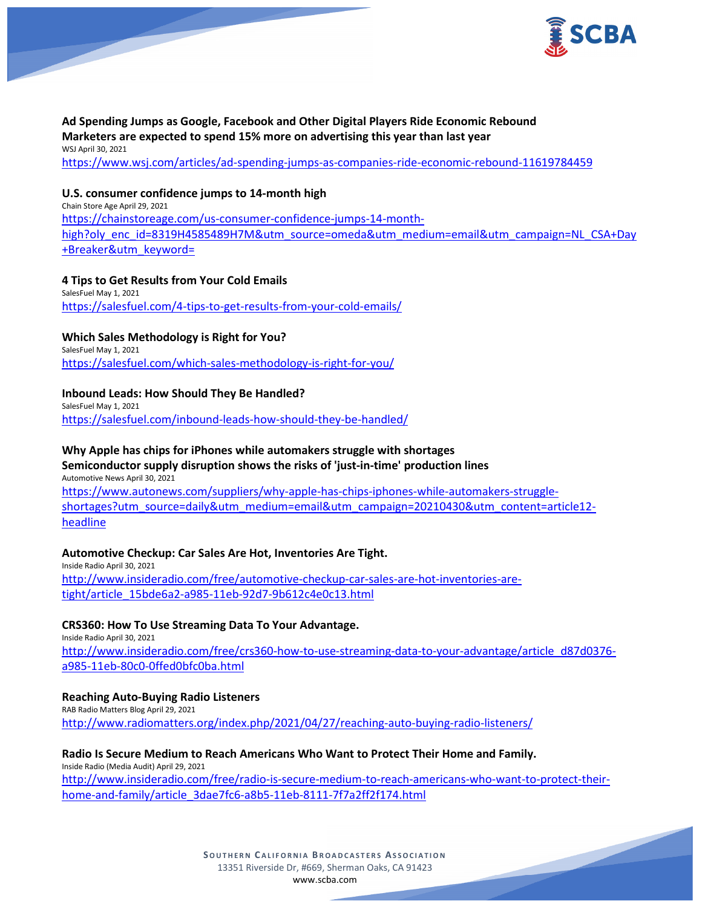

## **Ad Spending Jumps as Google, Facebook and Other Digital Players Ride Economic Rebound Marketers are expected to spend 15% more on advertising this year than last year** WSJ April 30, 2021

<https://www.wsj.com/articles/ad-spending-jumps-as-companies-ride-economic-rebound-11619784459>

## **U.S. consumer confidence jumps to 14-month high**

Chain Store Age April 29, 2021 [https://chainstoreage.com/us-consumer-confidence-jumps-14-month](https://chainstoreage.com/us-consumer-confidence-jumps-14-month-high?oly_enc_id=8319H4585489H7M&utm_source=omeda&utm_medium=email&utm_campaign=NL_CSA+Day+Breaker&utm_keyword=)[high?oly\\_enc\\_id=8319H4585489H7M&utm\\_source=omeda&utm\\_medium=email&utm\\_campaign=NL\\_CSA+Day](https://chainstoreage.com/us-consumer-confidence-jumps-14-month-high?oly_enc_id=8319H4585489H7M&utm_source=omeda&utm_medium=email&utm_campaign=NL_CSA+Day+Breaker&utm_keyword=) [+Breaker&utm\\_keyword=](https://chainstoreage.com/us-consumer-confidence-jumps-14-month-high?oly_enc_id=8319H4585489H7M&utm_source=omeda&utm_medium=email&utm_campaign=NL_CSA+Day+Breaker&utm_keyword=)

## **4 Tips to Get Results from Your Cold Emails**

SalesFuel May 1, 2021 <https://salesfuel.com/4-tips-to-get-results-from-your-cold-emails/>

## **Which Sales Methodology is Right for You?**

SalesFuel May 1, 2021 <https://salesfuel.com/which-sales-methodology-is-right-for-you/>

## **Inbound Leads: How Should They Be Handled?**

SalesFuel May 1, 2021 <https://salesfuel.com/inbound-leads-how-should-they-be-handled/>

### **Why Apple has chips for iPhones while automakers struggle with shortages**

### **Semiconductor supply disruption shows the risks of 'just-in-time' production lines** Automotive News April 30, 2021

[https://www.autonews.com/suppliers/why-apple-has-chips-iphones-while-automakers-struggle](https://www.autonews.com/suppliers/why-apple-has-chips-iphones-while-automakers-struggle-shortages?utm_source=daily&utm_medium=email&utm_campaign=20210430&utm_content=article12-headline)[shortages?utm\\_source=daily&utm\\_medium=email&utm\\_campaign=20210430&utm\\_content=article12](https://www.autonews.com/suppliers/why-apple-has-chips-iphones-while-automakers-struggle-shortages?utm_source=daily&utm_medium=email&utm_campaign=20210430&utm_content=article12-headline) [headline](https://www.autonews.com/suppliers/why-apple-has-chips-iphones-while-automakers-struggle-shortages?utm_source=daily&utm_medium=email&utm_campaign=20210430&utm_content=article12-headline)

### **Automotive Checkup: Car Sales Are Hot, Inventories Are Tight.**

Inside Radio April 30, 2021 [http://www.insideradio.com/free/automotive-checkup-car-sales-are-hot-inventories-are](http://www.insideradio.com/free/automotive-checkup-car-sales-are-hot-inventories-are-tight/article_15bde6a2-a985-11eb-92d7-9b612c4e0c13.html)[tight/article\\_15bde6a2-a985-11eb-92d7-9b612c4e0c13.html](http://www.insideradio.com/free/automotive-checkup-car-sales-are-hot-inventories-are-tight/article_15bde6a2-a985-11eb-92d7-9b612c4e0c13.html)

### **CRS360: How To Use Streaming Data To Your Advantage.**

Inside Radio April 30, 2021 [http://www.insideradio.com/free/crs360-how-to-use-streaming-data-to-your-advantage/article\\_d87d0376](http://www.insideradio.com/free/crs360-how-to-use-streaming-data-to-your-advantage/article_d87d0376-a985-11eb-80c0-0ffed0bfc0ba.html) [a985-11eb-80c0-0ffed0bfc0ba.html](http://www.insideradio.com/free/crs360-how-to-use-streaming-data-to-your-advantage/article_d87d0376-a985-11eb-80c0-0ffed0bfc0ba.html)

### **Reaching Auto-Buying Radio Listeners**

RAB Radio Matters Blog April 29, 2021 <http://www.radiomatters.org/index.php/2021/04/27/reaching-auto-buying-radio-listeners/>

#### **Radio Is Secure Medium to Reach Americans Who Want to Protect Their Home and Family.** Inside Radio (Media Audit) April 29, 2021

[http://www.insideradio.com/free/radio-is-secure-medium-to-reach-americans-who-want-to-protect-their](http://www.insideradio.com/free/radio-is-secure-medium-to-reach-americans-who-want-to-protect-their-home-and-family/article_3dae7fc6-a8b5-11eb-8111-7f7a2ff2f174.html)[home-and-family/article\\_3dae7fc6-a8b5-11eb-8111-7f7a2ff2f174.html](http://www.insideradio.com/free/radio-is-secure-medium-to-reach-americans-who-want-to-protect-their-home-and-family/article_3dae7fc6-a8b5-11eb-8111-7f7a2ff2f174.html)

> **SOUTHERN C ALIFORNIA B ROADCASTERS ASSOCIATION** 13351 Riverside Dr, #669, Sherman Oaks, CA 91423 [www.scba.com](http://www.scba.com/)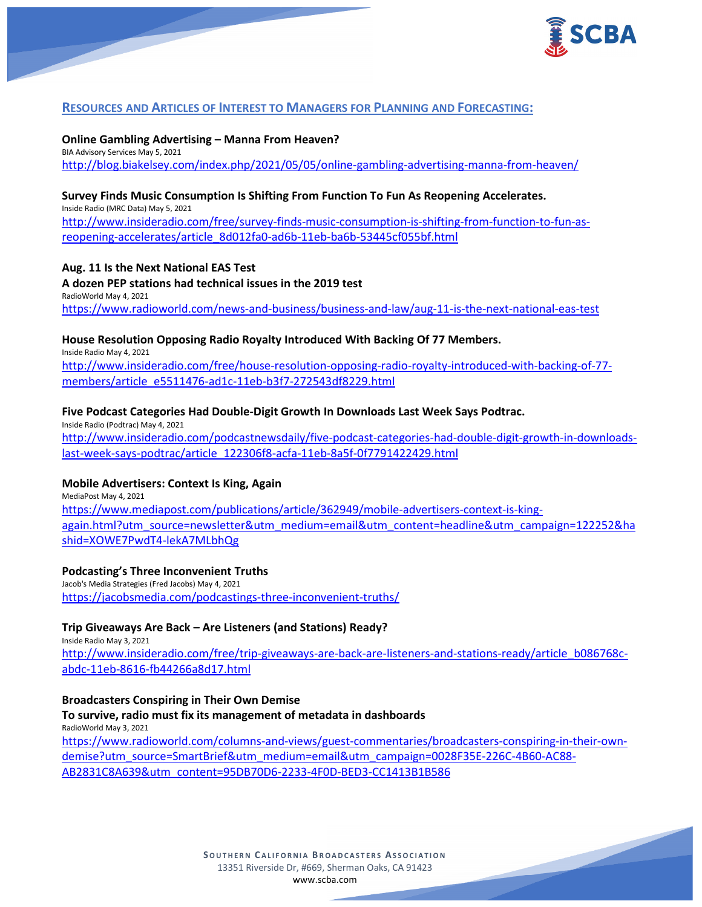

# **RESOURCES AND ARTICLES OF INTEREST TO MANAGERS FOR PLANNING AND FORECASTING:**

**Online Gambling Advertising – Manna From Heaven?** BIA Advisory Services May 5, 2021 <http://blog.biakelsey.com/index.php/2021/05/05/online-gambling-advertising-manna-from-heaven/>

### **Survey Finds Music Consumption Is Shifting From Function To Fun As Reopening Accelerates.**

Inside Radio (MRC Data) May 5, 2021 [http://www.insideradio.com/free/survey-finds-music-consumption-is-shifting-from-function-to-fun-as](http://www.insideradio.com/free/survey-finds-music-consumption-is-shifting-from-function-to-fun-as-reopening-accelerates/article_8d012fa0-ad6b-11eb-ba6b-53445cf055bf.html)[reopening-accelerates/article\\_8d012fa0-ad6b-11eb-ba6b-53445cf055bf.html](http://www.insideradio.com/free/survey-finds-music-consumption-is-shifting-from-function-to-fun-as-reopening-accelerates/article_8d012fa0-ad6b-11eb-ba6b-53445cf055bf.html)

### **Aug. 11 Is the Next National EAS Test**

**A dozen PEP stations had technical issues in the 2019 test** RadioWorld May 4, 2021 <https://www.radioworld.com/news-and-business/business-and-law/aug-11-is-the-next-national-eas-test>

**House Resolution Opposing Radio Royalty Introduced With Backing Of 77 Members.**

Inside Radio May 4, 2021 [http://www.insideradio.com/free/house-resolution-opposing-radio-royalty-introduced-with-backing-of-77](http://www.insideradio.com/free/house-resolution-opposing-radio-royalty-introduced-with-backing-of-77-members/article_e5511476-ad1c-11eb-b3f7-272543df8229.html) [members/article\\_e5511476-ad1c-11eb-b3f7-272543df8229.html](http://www.insideradio.com/free/house-resolution-opposing-radio-royalty-introduced-with-backing-of-77-members/article_e5511476-ad1c-11eb-b3f7-272543df8229.html)

## **Five Podcast Categories Had Double-Digit Growth In Downloads Last Week Says Podtrac.**

Inside Radio (Podtrac) May 4, 2021 [http://www.insideradio.com/podcastnewsdaily/five-podcast-categories-had-double-digit-growth-in-downloads](http://www.insideradio.com/podcastnewsdaily/five-podcast-categories-had-double-digit-growth-in-downloads-last-week-says-podtrac/article_122306f8-acfa-11eb-8a5f-0f7791422429.html)[last-week-says-podtrac/article\\_122306f8-acfa-11eb-8a5f-0f7791422429.html](http://www.insideradio.com/podcastnewsdaily/five-podcast-categories-had-double-digit-growth-in-downloads-last-week-says-podtrac/article_122306f8-acfa-11eb-8a5f-0f7791422429.html)

## **Mobile Advertisers: Context Is King, Again**

MediaPost May 4, 2021 [https://www.mediapost.com/publications/article/362949/mobile-advertisers-context-is-king](https://www.mediapost.com/publications/article/362949/mobile-advertisers-context-is-king-again.html?utm_source=newsletter&utm_medium=email&utm_content=headline&utm_campaign=122252&hashid=XOWE7PwdT4-lekA7MLbhQg)[again.html?utm\\_source=newsletter&utm\\_medium=email&utm\\_content=headline&utm\\_campaign=122252&ha](https://www.mediapost.com/publications/article/362949/mobile-advertisers-context-is-king-again.html?utm_source=newsletter&utm_medium=email&utm_content=headline&utm_campaign=122252&hashid=XOWE7PwdT4-lekA7MLbhQg) [shid=XOWE7PwdT4-lekA7MLbhQg](https://www.mediapost.com/publications/article/362949/mobile-advertisers-context-is-king-again.html?utm_source=newsletter&utm_medium=email&utm_content=headline&utm_campaign=122252&hashid=XOWE7PwdT4-lekA7MLbhQg)

### **Podcasting's Three Inconvenient Truths**

Jacob's Media Strategies (Fred Jacobs) May 4, 2021 <https://jacobsmedia.com/podcastings-three-inconvenient-truths/>

## **Trip Giveaways Are Back – Are Listeners (and Stations) Ready?**

Inside Radio May 3, 2021 [http://www.insideradio.com/free/trip-giveaways-are-back-are-listeners-and-stations-ready/article\\_b086768c](http://www.insideradio.com/free/trip-giveaways-are-back-are-listeners-and-stations-ready/article_b086768c-abdc-11eb-8616-fb44266a8d17.html)[abdc-11eb-8616-fb44266a8d17.html](http://www.insideradio.com/free/trip-giveaways-are-back-are-listeners-and-stations-ready/article_b086768c-abdc-11eb-8616-fb44266a8d17.html)

### **Broadcasters Conspiring in Their Own Demise**

**To survive, radio must fix its management of metadata in dashboards** RadioWorld May 3, 2021

[https://www.radioworld.com/columns-and-views/guest-commentaries/broadcasters-conspiring-in-their-own](https://www.radioworld.com/columns-and-views/guest-commentaries/broadcasters-conspiring-in-their-own-demise?utm_source=SmartBrief&utm_medium=email&utm_campaign=0028F35E-226C-4B60-AC88-AB2831C8A639&utm_content=95DB70D6-2233-4F0D-BED3-CC1413B1B586)[demise?utm\\_source=SmartBrief&utm\\_medium=email&utm\\_campaign=0028F35E-226C-4B60-AC88-](https://www.radioworld.com/columns-and-views/guest-commentaries/broadcasters-conspiring-in-their-own-demise?utm_source=SmartBrief&utm_medium=email&utm_campaign=0028F35E-226C-4B60-AC88-AB2831C8A639&utm_content=95DB70D6-2233-4F0D-BED3-CC1413B1B586) [AB2831C8A639&utm\\_content=95DB70D6-2233-4F0D-BED3-CC1413B1B586](https://www.radioworld.com/columns-and-views/guest-commentaries/broadcasters-conspiring-in-their-own-demise?utm_source=SmartBrief&utm_medium=email&utm_campaign=0028F35E-226C-4B60-AC88-AB2831C8A639&utm_content=95DB70D6-2233-4F0D-BED3-CC1413B1B586)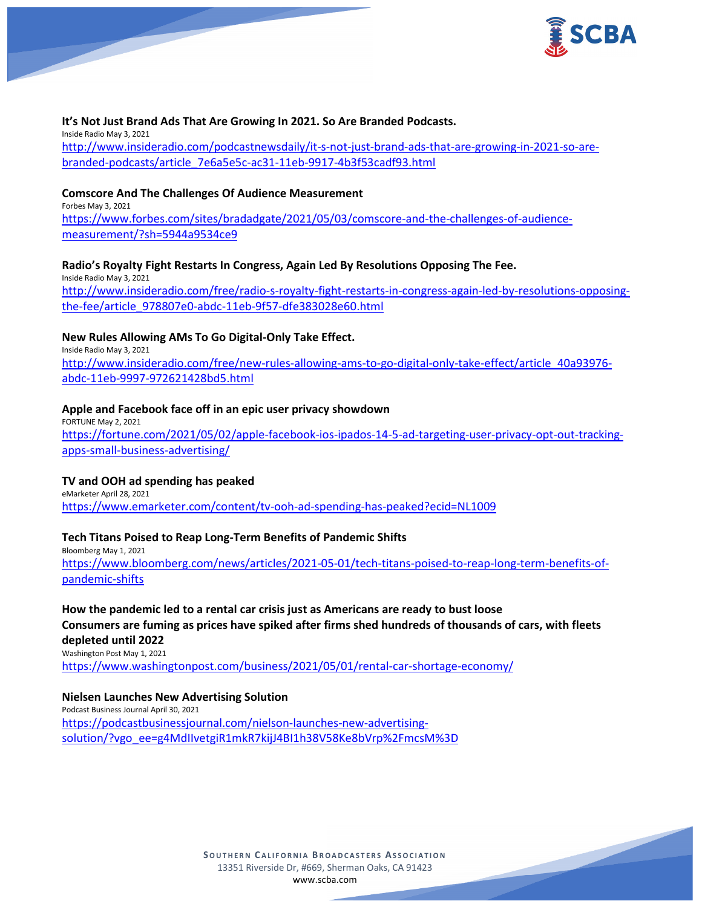

### **It's Not Just Brand Ads That Are Growing In 2021. So Are Branded Podcasts.**

Inside Radio May 3, 2021 [http://www.insideradio.com/podcastnewsdaily/it-s-not-just-brand-ads-that-are-growing-in-2021-so-are](http://www.insideradio.com/podcastnewsdaily/it-s-not-just-brand-ads-that-are-growing-in-2021-so-are-branded-podcasts/article_7e6a5e5c-ac31-11eb-9917-4b3f53cadf93.html)[branded-podcasts/article\\_7e6a5e5c-ac31-11eb-9917-4b3f53cadf93.html](http://www.insideradio.com/podcastnewsdaily/it-s-not-just-brand-ads-that-are-growing-in-2021-so-are-branded-podcasts/article_7e6a5e5c-ac31-11eb-9917-4b3f53cadf93.html)

#### **Comscore And The Challenges Of Audience Measurement** Forbes May 3, 2021

[https://www.forbes.com/sites/bradadgate/2021/05/03/comscore-and-the-challenges-of-audience](https://www.forbes.com/sites/bradadgate/2021/05/03/comscore-and-the-challenges-of-audience-measurement/?sh=5944a9534ce9)[measurement/?sh=5944a9534ce9](https://www.forbes.com/sites/bradadgate/2021/05/03/comscore-and-the-challenges-of-audience-measurement/?sh=5944a9534ce9)

## **Radio's Royalty Fight Restarts In Congress, Again Led By Resolutions Opposing The Fee.**

Inside Radio May 3, 2021 [http://www.insideradio.com/free/radio-s-royalty-fight-restarts-in-congress-again-led-by-resolutions-opposing](http://www.insideradio.com/free/radio-s-royalty-fight-restarts-in-congress-again-led-by-resolutions-opposing-the-fee/article_978807e0-abdc-11eb-9f57-dfe383028e60.html)[the-fee/article\\_978807e0-abdc-11eb-9f57-dfe383028e60.html](http://www.insideradio.com/free/radio-s-royalty-fight-restarts-in-congress-again-led-by-resolutions-opposing-the-fee/article_978807e0-abdc-11eb-9f57-dfe383028e60.html)

## **New Rules Allowing AMs To Go Digital-Only Take Effect.**

Inside Radio May 3, 2021 [http://www.insideradio.com/free/new-rules-allowing-ams-to-go-digital-only-take-effect/article\\_40a93976](http://www.insideradio.com/free/new-rules-allowing-ams-to-go-digital-only-take-effect/article_40a93976-abdc-11eb-9997-972621428bd5.html) [abdc-11eb-9997-972621428bd5.html](http://www.insideradio.com/free/new-rules-allowing-ams-to-go-digital-only-take-effect/article_40a93976-abdc-11eb-9997-972621428bd5.html)

### **Apple and Facebook face off in an epic user privacy showdown**

FORTUNE May 2, 2021 [https://fortune.com/2021/05/02/apple-facebook-ios-ipados-14-5-ad-targeting-user-privacy-opt-out-tracking](https://fortune.com/2021/05/02/apple-facebook-ios-ipados-14-5-ad-targeting-user-privacy-opt-out-tracking-apps-small-business-advertising/)[apps-small-business-advertising/](https://fortune.com/2021/05/02/apple-facebook-ios-ipados-14-5-ad-targeting-user-privacy-opt-out-tracking-apps-small-business-advertising/)

### **TV and OOH ad spending has peaked**

eMarketer April 28, 2021 <https://www.emarketer.com/content/tv-ooh-ad-spending-has-peaked?ecid=NL1009>

### **Tech Titans Poised to Reap Long-Term Benefits of Pandemic Shifts**

Bloomberg May 1, 2021 [https://www.bloomberg.com/news/articles/2021-05-01/tech-titans-poised-to-reap-long-term-benefits-of](https://www.bloomberg.com/news/articles/2021-05-01/tech-titans-poised-to-reap-long-term-benefits-of-pandemic-shifts)[pandemic-shifts](https://www.bloomberg.com/news/articles/2021-05-01/tech-titans-poised-to-reap-long-term-benefits-of-pandemic-shifts)

## **How the pandemic led to a rental car crisis just as Americans are ready to bust loose Consumers are fuming as prices have spiked after firms shed hundreds of thousands of cars, with fleets depleted until 2022**

Washington Post May 1, 2021

<https://www.washingtonpost.com/business/2021/05/01/rental-car-shortage-economy/>

# **Nielsen Launches New Advertising Solution**

Podcast Business Journal April 30, 2021 [https://podcastbusinessjournal.com/nielson-launches-new-advertising](https://podcastbusinessjournal.com/nielson-launches-new-advertising-solution/?vgo_ee=g4MdIIvetgiR1mkR7kijJ4BI1h38V58Ke8bVrp%2FmcsM%3D)[solution/?vgo\\_ee=g4MdIIvetgiR1mkR7kijJ4BI1h38V58Ke8bVrp%2FmcsM%3D](https://podcastbusinessjournal.com/nielson-launches-new-advertising-solution/?vgo_ee=g4MdIIvetgiR1mkR7kijJ4BI1h38V58Ke8bVrp%2FmcsM%3D)